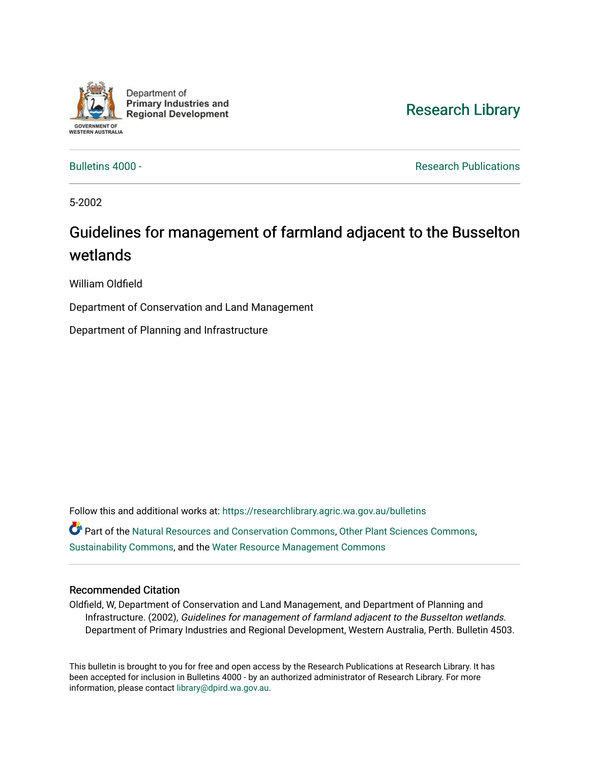

Department of **Primary Industries and Regional Development** 

## [Research Library](https://researchlibrary.agric.wa.gov.au/)

[Bulletins 4000 -](https://researchlibrary.agric.wa.gov.au/bulletins) **Research Publications Research Publications** 

5-2002

## Guidelines for management of farmland adjacent to the Busselton wetlands

William Oldfield

Department of Conservation and Land Management

Department of Planning and Infrastructure

Follow this and additional works at: [https://researchlibrary.agric.wa.gov.au/bulletins](https://researchlibrary.agric.wa.gov.au/bulletins?utm_source=researchlibrary.agric.wa.gov.au%2Fbulletins%2F224&utm_medium=PDF&utm_campaign=PDFCoverPages) Part of the [Natural Resources and Conservation Commons,](http://network.bepress.com/hgg/discipline/168?utm_source=researchlibrary.agric.wa.gov.au%2Fbulletins%2F224&utm_medium=PDF&utm_campaign=PDFCoverPages) [Other Plant Sciences Commons](http://network.bepress.com/hgg/discipline/109?utm_source=researchlibrary.agric.wa.gov.au%2Fbulletins%2F224&utm_medium=PDF&utm_campaign=PDFCoverPages), [Sustainability Commons](http://network.bepress.com/hgg/discipline/1031?utm_source=researchlibrary.agric.wa.gov.au%2Fbulletins%2F224&utm_medium=PDF&utm_campaign=PDFCoverPages), and the [Water Resource Management Commons](http://network.bepress.com/hgg/discipline/1057?utm_source=researchlibrary.agric.wa.gov.au%2Fbulletins%2F224&utm_medium=PDF&utm_campaign=PDFCoverPages)

#### Recommended Citation

Oldfield, W, Department of Conservation and Land Management, and Department of Planning and Infrastructure. (2002), Guidelines for management of farmland adjacent to the Busselton wetlands. Department of Primary Industries and Regional Development, Western Australia, Perth. Bulletin 4503.

This bulletin is brought to you for free and open access by the Research Publications at Research Library. It has been accepted for inclusion in Bulletins 4000 - by an authorized administrator of Research Library. For more information, please contact [library@dpird.wa.gov.au](mailto:library@dpird.wa.gov.au).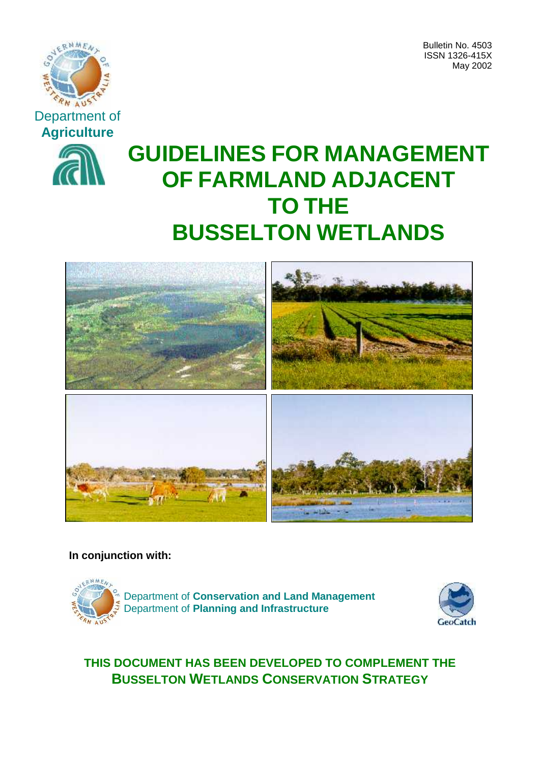

Bulletin No. 4503 ISSN 1326-415X May 2002



# **GUIDELINES FOR MANAGEMENT OF FARMLAND ADJACENT TO THE BUSSELTON WETLANDS**



**In conjunction with:**





## **THIS DOCUMENT HAS BEEN DEVELOPED TO COMPLEMENT THE BUSSELTON WETLANDS CONSERVATION STRATEGY**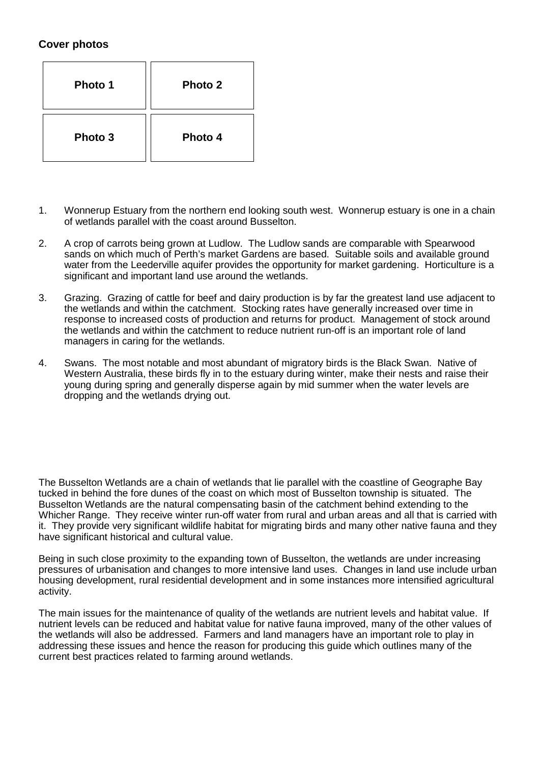## **Cover photos**

| Photo 1 | Photo 2 |
|---------|---------|
| Photo 3 | Photo 4 |

- 1. Wonnerup Estuary from the northern end looking south west. Wonnerup estuary is one in a chain of wetlands parallel with the coast around Busselton.
- 2. A crop of carrots being grown at Ludlow. The Ludlow sands are comparable with Spearwood sands on which much of Perth's market Gardens are based. Suitable soils and available ground water from the Leederville aquifer provides the opportunity for market gardening. Horticulture is a significant and important land use around the wetlands.
- 3. Grazing. Grazing of cattle for beef and dairy production is by far the greatest land use adjacent to the wetlands and within the catchment. Stocking rates have generally increased over time in response to increased costs of production and returns for product. Management of stock around the wetlands and within the catchment to reduce nutrient run-off is an important role of land managers in caring for the wetlands.
- 4. Swans. The most notable and most abundant of migratory birds is the Black Swan. Native of Western Australia, these birds fly in to the estuary during winter, make their nests and raise their young during spring and generally disperse again by mid summer when the water levels are dropping and the wetlands drying out.

The Busselton Wetlands are a chain of wetlands that lie parallel with the coastline of Geographe Bay tucked in behind the fore dunes of the coast on which most of Busselton township is situated. The Busselton Wetlands are the natural compensating basin of the catchment behind extending to the Whicher Range. They receive winter run-off water from rural and urban areas and all that is carried with it. They provide very significant wildlife habitat for migrating birds and many other native fauna and they have significant historical and cultural value.

Being in such close proximity to the expanding town of Busselton, the wetlands are under increasing pressures of urbanisation and changes to more intensive land uses. Changes in land use include urban housing development, rural residential development and in some instances more intensified agricultural activity.

The main issues for the maintenance of quality of the wetlands are nutrient levels and habitat value. If nutrient levels can be reduced and habitat value for native fauna improved, many of the other values of the wetlands will also be addressed. Farmers and land managers have an important role to play in addressing these issues and hence the reason for producing this guide which outlines many of the current best practices related to farming around wetlands.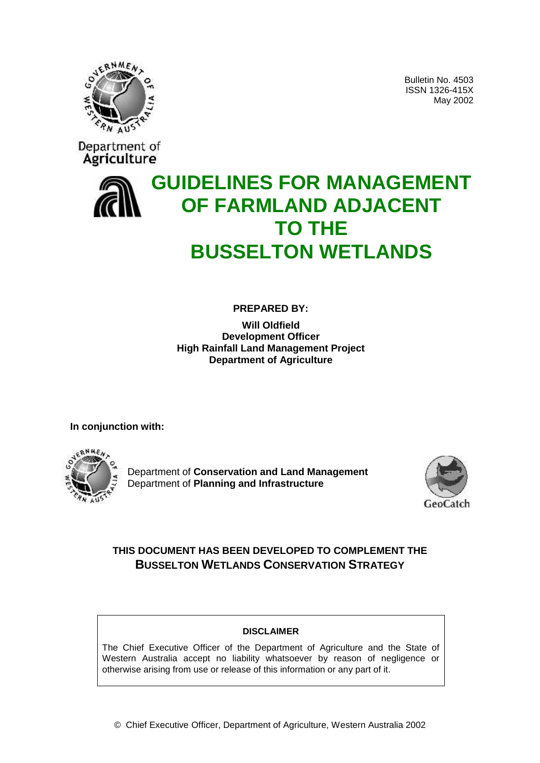

Bulletin No. 4503 ISSN 1326-415X May 2002



# **GUIDELINES FOR MANAGEMENT OF FARMLAND ADJACENT TO THE BUSSELTON WETLANDS**

**PREPARED BY:**

**Will Oldfield Development Officer High Rainfall Land Management Project Department of Agriculture**

**In conjunction with:**



Department of **Conservation and Land Management** Department of **Planning and Infrastructure**



## **THIS DOCUMENT HAS BEEN DEVELOPED TO COMPLEMENT THE BUSSELTON WETLANDS CONSERVATION STRATEGY**

#### **DISCLAIMER**

The Chief Executive Officer of the Department of Agriculture and the State of Western Australia accept no liability whatsoever by reason of negligence or otherwise arising from use or release of this information or any part of it.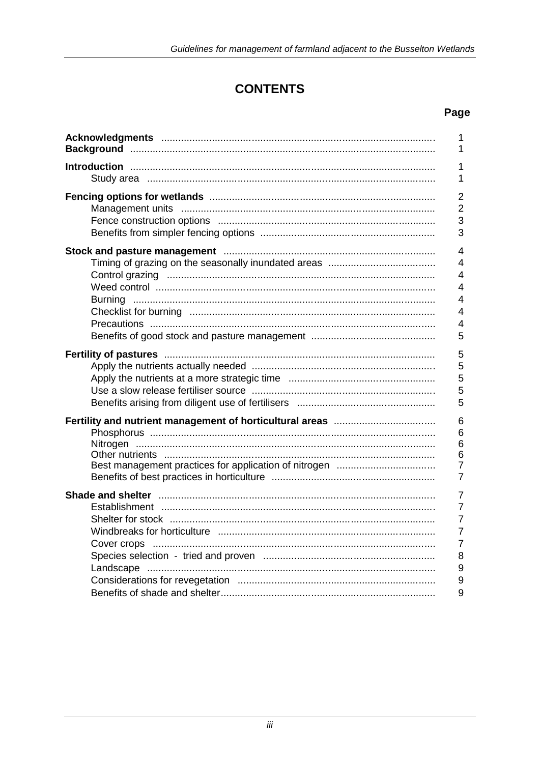## **CONTENTS**

## Page

|                                                                                                                | 1                       |
|----------------------------------------------------------------------------------------------------------------|-------------------------|
|                                                                                                                | 1                       |
|                                                                                                                | 1                       |
|                                                                                                                | 1                       |
|                                                                                                                | $\overline{2}$          |
|                                                                                                                | $\overline{2}$          |
|                                                                                                                | 3                       |
|                                                                                                                | 3                       |
|                                                                                                                | $\overline{4}$          |
|                                                                                                                | $\overline{4}$          |
|                                                                                                                | $\overline{4}$          |
|                                                                                                                | $\overline{4}$          |
|                                                                                                                | $\overline{4}$          |
|                                                                                                                | $\overline{4}$          |
|                                                                                                                | $\overline{\mathbf{4}}$ |
|                                                                                                                | 5                       |
| Fertility of pastures manufactured and participate of pasture and the control of pastures and the control of t | 5                       |
|                                                                                                                | 5                       |
|                                                                                                                | 5                       |
|                                                                                                                | 5                       |
|                                                                                                                | 5                       |
|                                                                                                                | 6                       |
|                                                                                                                | 6                       |
|                                                                                                                | 6                       |
| Other nutrients …………………………………………………………………………………                                                                | $\,6$                   |
|                                                                                                                | $\overline{7}$          |
|                                                                                                                | 7                       |
|                                                                                                                | $\overline{7}$          |
|                                                                                                                | $\overline{7}$          |
|                                                                                                                | $\overline{7}$          |
|                                                                                                                | $\overline{7}$          |
|                                                                                                                | $\overline{7}$          |
|                                                                                                                | 8                       |
|                                                                                                                | $\boldsymbol{9}$        |
|                                                                                                                | $\boldsymbol{9}$        |
|                                                                                                                | 9                       |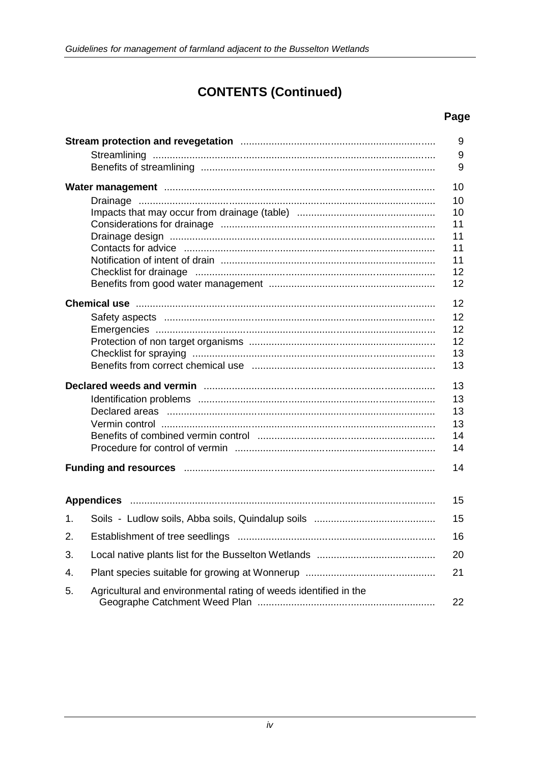## **CONTENTS (Continued)**

## Page

|    |                                                                                                                | $9\,$<br>9<br>9 |
|----|----------------------------------------------------------------------------------------------------------------|-----------------|
|    |                                                                                                                | 10              |
|    |                                                                                                                | 10              |
|    |                                                                                                                | 10              |
|    |                                                                                                                | 11              |
|    |                                                                                                                | 11              |
|    |                                                                                                                | 11              |
|    |                                                                                                                | 11              |
|    |                                                                                                                | 12<br>12        |
|    |                                                                                                                | 12              |
|    |                                                                                                                | 12              |
|    |                                                                                                                | 12              |
|    |                                                                                                                | 12              |
|    |                                                                                                                | 13              |
|    |                                                                                                                | 13              |
|    |                                                                                                                | 13              |
|    |                                                                                                                | 13              |
|    |                                                                                                                | 13              |
|    |                                                                                                                | 13              |
|    |                                                                                                                | 14              |
|    |                                                                                                                | 14              |
|    | Funding and resources manufactured and resources and resources manufactured and resources manufactured and res | 14              |
|    |                                                                                                                | 15              |
| 1. |                                                                                                                | 15              |
| 2. |                                                                                                                | 16              |
| 3. |                                                                                                                | 20              |
| 4. |                                                                                                                | 21              |
| 5. | Agricultural and environmental rating of weeds identified in the                                               | 22              |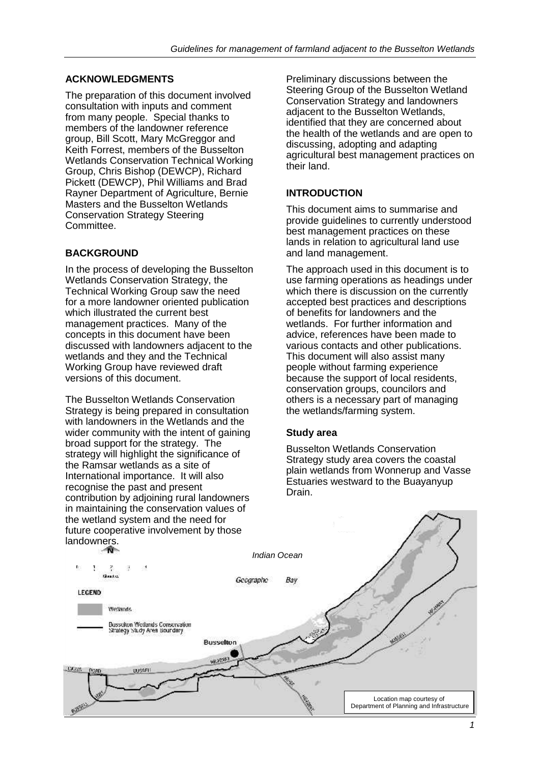#### **ACKNOWLEDGMENTS**

The preparation of this document involved consultation with inputs and comment from many people. Special thanks to members of the landowner reference group, Bill Scott, Mary McGreggor and Keith Forrest, members of the Busselton Wetlands Conservation Technical Working Group, Chris Bishop (DEWCP), Richard Pickett (DEWCP), Phil Williams and Brad Rayner Department of Agriculture, Bernie Masters and the Busselton Wetlands Conservation Strategy Steering Committee.

#### **BACKGROUND**

In the process of developing the Busselton Wetlands Conservation Strategy, the Technical Working Group saw the need for a more landowner oriented publication which illustrated the current best management practices. Many of the concepts in this document have been discussed with landowners adjacent to the wetlands and they and the Technical Working Group have reviewed draft versions of this document.

The Busselton Wetlands Conservation Strategy is being prepared in consultation with landowners in the Wetlands and the wider community with the intent of gaining broad support for the strategy. The strategy will highlight the significance of the Ramsar wetlands as a site of International importance. It will also recognise the past and present contribution by adjoining rural landowners in maintaining the conservation values of the wetland system and the need for future cooperative involvement by those

Preliminary discussions between the Steering Group of the Busselton Wetland Conservation Strategy and landowners adjacent to the Busselton Wetlands, identified that they are concerned about the health of the wetlands and are open to discussing, adopting and adapting agricultural best management practices on their land.

#### **INTRODUCTION**

This document aims to summarise and provide guidelines to currently understood best management practices on these lands in relation to agricultural land use and land management.

The approach used in this document is to use farming operations as headings under which there is discussion on the currently accepted best practices and descriptions of benefits for landowners and the wetlands. For further information and advice, references have been made to various contacts and other publications. This document will also assist many people without farming experience because the support of local residents, conservation groups, councilors and others is a necessary part of managing the wetlands/farming system.

#### **Study area**

Busselton Wetlands Conservation Strategy study area covers the coastal plain wetlands from Wonnerup and Vasse Estuaries westward to the Buayanyup Drain.

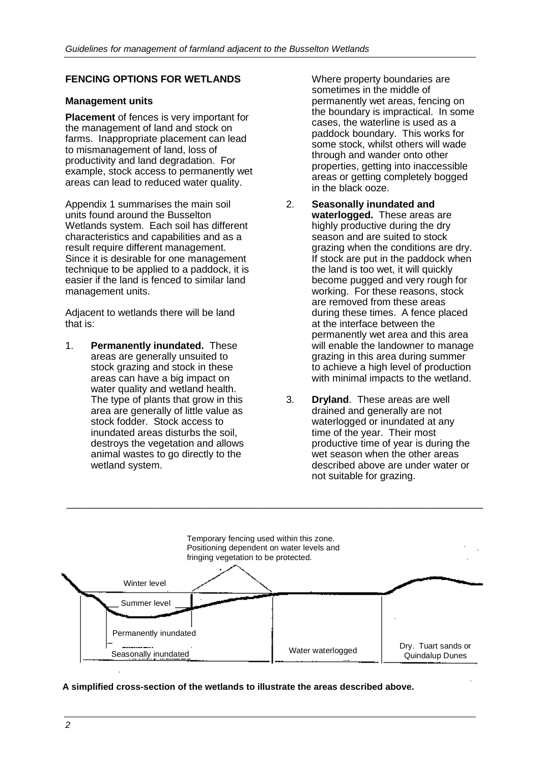### **FENCING OPTIONS FOR WETLANDS**

#### **Management units**

**Placement** of fences is very important for the management of land and stock on farms. Inappropriate placement can lead to mismanagement of land, loss of productivity and land degradation. For example, stock access to permanently wet areas can lead to reduced water quality.

Appendix 1 summarises the main soil units found around the Busselton Wetlands system. Each soil has different characteristics and capabilities and as a result require different management. Since it is desirable for one management technique to be applied to a paddock, it is easier if the land is fenced to similar land management units.

Adjacent to wetlands there will be land that is:

1. **Permanently inundated.** These areas are generally unsuited to stock grazing and stock in these areas can have a big impact on water quality and wetland health. The type of plants that grow in this area are generally of little value as stock fodder. Stock access to inundated areas disturbs the soil, destroys the vegetation and allows animal wastes to go directly to the wetland system.

Where property boundaries are sometimes in the middle of permanently wet areas, fencing on the boundary is impractical. In some cases, the waterline is used as a paddock boundary. This works for some stock, whilst others will wade through and wander onto other properties, getting into inaccessible areas or getting completely bogged in the black ooze.

- 2. **Seasonally inundated and waterlogged.** These areas are highly productive during the dry season and are suited to stock grazing when the conditions are dry. If stock are put in the paddock when the land is too wet, it will quickly become pugged and very rough for working. For these reasons, stock are removed from these areas during these times. A fence placed at the interface between the permanently wet area and this area will enable the landowner to manage grazing in this area during summer to achieve a high level of production with minimal impacts to the wetland.
- 3. **Dryland**. These areas are well drained and generally are not waterlogged or inundated at any time of the year. Their most productive time of year is during the wet season when the other areas described above are under water or not suitable for grazing.



\_\_\_\_\_\_\_\_\_\_\_\_\_\_\_\_\_\_\_\_\_\_\_\_\_\_\_\_\_\_\_\_\_\_\_\_\_\_\_\_\_\_\_\_\_\_\_\_\_\_\_\_\_\_\_\_\_\_\_\_\_\_\_\_\_\_\_\_\_\_\_\_\_\_\_

**A simplified cross-section of the wetlands to illustrate the areas described above.**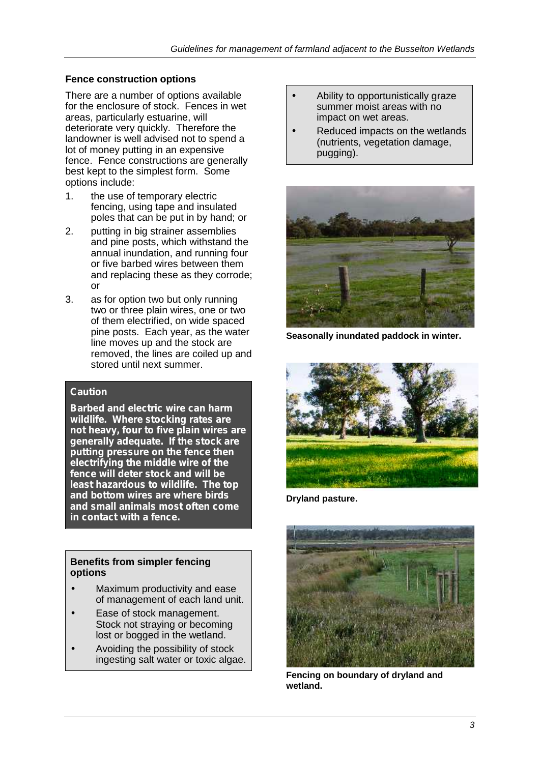## **Fence construction options**

There are a number of options available for the enclosure of stock. Fences in wet areas, particularly estuarine, will deteriorate very quickly. Therefore the landowner is well advised not to spend a lot of money putting in an expensive fence. Fence constructions are generally best kept to the simplest form. Some options include:

- 1. the use of temporary electric fencing, using tape and insulated poles that can be put in by hand; or
- 2. putting in big strainer assemblies and pine posts, which withstand the annual inundation, and running four or five barbed wires between them and replacing these as they corrode; or
- 3. as for option two but only running two or three plain wires, one or two of them electrified, on wide spaced pine posts. Each year, as the water line moves up and the stock are removed, the lines are coiled up and stored until next summer.

#### *Caution*

*Barbed and electric wire can harm wildlife. Where stocking rates are not heavy, four to five plain wires are generally adequate. If the stock are putting pressure on the fence then electrifying the middle wire of the fence will deter stock and will be least hazardous to wildlife. The top and bottom wires are where birds and small animals most often come in contact with a fence.*

#### **Benefits from simpler fencing options**

- Maximum productivity and ease of management of each land unit.
- Ease of stock management. Stock not straying or becoming lost or bogged in the wetland.
- Avoiding the possibility of stock ingesting salt water or toxic algae.
- Ability to opportunistically graze summer moist areas with no impact on wet areas.
- Reduced impacts on the wetlands (nutrients, vegetation damage, pugging).



**Seasonally inundated paddock in winter.**



**Dryland pasture.**



**Fencing on boundary of dryland and wetland.**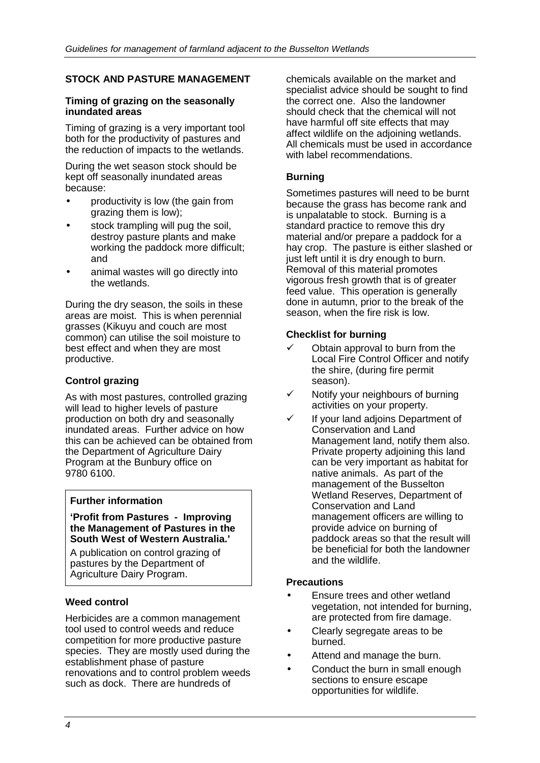## **STOCK AND PASTURE MANAGEMENT**

#### **Timing of grazing on the seasonally inundated areas**

Timing of grazing is a very important tool both for the productivity of pastures and the reduction of impacts to the wetlands.

During the wet season stock should be kept off seasonally inundated areas because:

- productivity is low (the gain from grazing them is low);
- stock trampling will pug the soil, destroy pasture plants and make working the paddock more difficult; and
- animal wastes will go directly into the wetlands.

During the dry season, the soils in these areas are moist. This is when perennial grasses (Kikuyu and couch are most common) can utilise the soil moisture to best effect and when they are most productive.

## **Control grazing**

As with most pastures, controlled grazing will lead to higher levels of pasture production on both dry and seasonally inundated areas. Further advice on how this can be achieved can be obtained from the Department of Agriculture Dairy Program at the Bunbury office on 9780 6100.

#### **Further information**

#### **'Profit from Pastures - Improving the Management of Pastures in the South West of Western Australia.'**

A publication on control grazing of pastures by the Department of Agriculture Dairy Program.

#### **Weed control**

Herbicides are a common management tool used to control weeds and reduce competition for more productive pasture species. They are mostly used during the establishment phase of pasture renovations and to control problem weeds such as dock. There are hundreds of

chemicals available on the market and specialist advice should be sought to find the correct one. Also the landowner should check that the chemical will not have harmful off site effects that may affect wildlife on the adjoining wetlands. All chemicals must be used in accordance with label recommendations.

#### **Burning**

Sometimes pastures will need to be burnt because the grass has become rank and is unpalatable to stock. Burning is a standard practice to remove this dry material and/or prepare a paddock for a hay crop. The pasture is either slashed or just left until it is dry enough to burn. Removal of this material promotes vigorous fresh growth that is of greater feed value. This operation is generally done in autumn, prior to the break of the season, when the fire risk is low.

#### **Checklist for burning**

- $\checkmark$  Obtain approval to burn from the Local Fire Control Officer and notify the shire, (during fire permit season).
- Notify your neighbours of burning activities on your property.
- If your land adjoins Department of Conservation and Land Management land, notify them also. Private property adjoining this land can be very important as habitat for native animals. As part of the management of the Busselton Wetland Reserves, Department of Conservation and Land management officers are willing to provide advice on burning of paddock areas so that the result will be beneficial for both the landowner and the wildlife.

#### **Precautions**

- Ensure trees and other wetland vegetation, not intended for burning, are protected from fire damage.
- Clearly segregate areas to be burned.
- Attend and manage the burn.
- Conduct the burn in small enough sections to ensure escape opportunities for wildlife.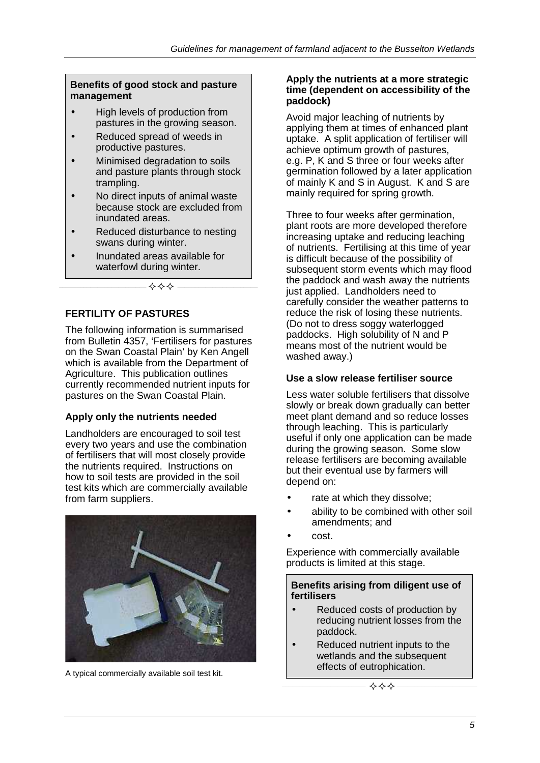#### **Benefits of good stock and pasture management**

- High levels of production from pastures in the growing season.
- Reduced spread of weeds in productive pastures.
- Minimised degradation to soils and pasture plants through stock trampling.
- No direct inputs of animal waste because stock are excluded from inundated areas.
- Reduced disturbance to nesting swans during winter.
- Inundated areas available for waterfowl during winter.

**\_\_\_\_\_\_\_\_\_\_\_\_\_\_\_\_\_\_\_\_\_\_\_\_\_ \_\_\_\_\_\_\_\_\_\_\_\_\_\_\_\_\_\_\_\_\_\_\_**

#### **FERTILITY OF PASTURES**

The following information is summarised from Bulletin 4357, 'Fertilisers for pastures on the Swan Coastal Plain' by Ken Angell which is available from the Department of Agriculture. This publication outlines currently recommended nutrient inputs for pastures on the Swan Coastal Plain.

#### **Apply only the nutrients needed**

Landholders are encouraged to soil test every two years and use the combination of fertilisers that will most closely provide the nutrients required. Instructions on how to soil tests are provided in the soil test kits which are commercially available from farm suppliers.



A typical commercially available soil test kit.

#### **Apply the nutrients at a more strategic time (dependent on accessibility of the paddock)**

Avoid major leaching of nutrients by applying them at times of enhanced plant uptake. A split application of fertiliser will achieve optimum growth of pastures, e.g. P, K and S three or four weeks after germination followed by a later application of mainly K and S in August. K and S are mainly required for spring growth.

Three to four weeks after germination, plant roots are more developed therefore increasing uptake and reducing leaching of nutrients. Fertilising at this time of year is difficult because of the possibility of subsequent storm events which may flood the paddock and wash away the nutrients just applied. Landholders need to carefully consider the weather patterns to reduce the risk of losing these nutrients. (Do not to dress soggy waterlogged paddocks. High solubility of N and P means most of the nutrient would be washed away.)

#### **Use a slow release fertiliser source**

Less water soluble fertilisers that dissolve slowly or break down gradually can better meet plant demand and so reduce losses through leaching. This is particularly useful if only one application can be made during the growing season. Some slow release fertilisers are becoming available but their eventual use by farmers will depend on:

- rate at which they dissolve;
- ability to be combined with other soil amendments; and
- cost.

Experience with commercially available products is limited at this stage.

#### **Benefits arising from diligent use of fertilisers**

- Reduced costs of production by reducing nutrient losses from the paddock.
- Reduced nutrient inputs to the wetlands and the subsequent effects of eutrophication.

**\_\_\_\_\_\_\_\_\_\_\_\_\_\_\_\_\_\_\_\_\_\_\_\_ \_\_\_\_\_\_\_\_\_\_\_\_\_\_\_\_\_\_\_\_\_\_\_**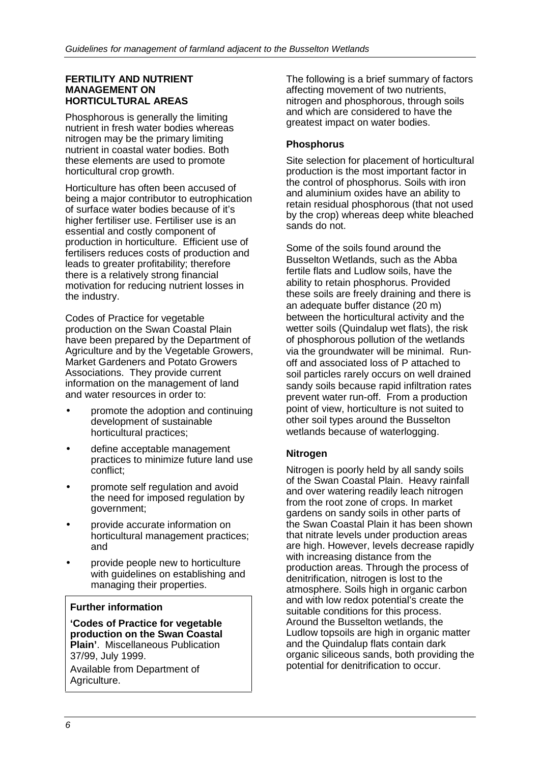#### **FERTILITY AND NUTRIENT MANAGEMENT ON HORTICULTURAL AREAS**

Phosphorous is generally the limiting nutrient in fresh water bodies whereas nitrogen may be the primary limiting nutrient in coastal water bodies. Both these elements are used to promote horticultural crop growth.

Horticulture has often been accused of being a major contributor to eutrophication of surface water bodies because of it's higher fertiliser use. Fertiliser use is an essential and costly component of production in horticulture. Efficient use of fertilisers reduces costs of production and leads to greater profitability; therefore there is a relatively strong financial motivation for reducing nutrient losses in the industry.

Codes of Practice for vegetable production on the Swan Coastal Plain have been prepared by the Department of Agriculture and by the Vegetable Growers, Market Gardeners and Potato Growers Associations. They provide current information on the management of land and water resources in order to:

- promote the adoption and continuing development of sustainable horticultural practices;
- define acceptable management practices to minimize future land use conflict;
- promote self regulation and avoid the need for imposed regulation by government;
- provide accurate information on horticultural management practices; and
- provide people new to horticulture with guidelines on establishing and managing their properties.

#### **Further information**

**'Codes of Practice for vegetable production on the Swan Coastal Plain'**. Miscellaneous Publication 37/99, July 1999.

Available from Department of Agriculture.

The following is a brief summary of factors affecting movement of two nutrients, nitrogen and phosphorous, through soils and which are considered to have the greatest impact on water bodies.

#### **Phosphorus**

Site selection for placement of horticultural production is the most important factor in the control of phosphorus. Soils with iron and aluminium oxides have an ability to retain residual phosphorous (that not used by the crop) whereas deep white bleached sands do not.

Some of the soils found around the Busselton Wetlands, such as the Abba fertile flats and Ludlow soils, have the ability to retain phosphorus. Provided these soils are freely draining and there is an adequate buffer distance (20 m) between the horticultural activity and the wetter soils (Quindalup wet flats), the risk of phosphorous pollution of the wetlands via the groundwater will be minimal. Run off and associated loss of P attached to soil particles rarely occurs on well drained sandy soils because rapid infiltration rates prevent water run-off. From a production point of view, horticulture is not suited to other soil types around the Busselton wetlands because of waterlogging.

#### **Nitrogen**

Nitrogen is poorly held by all sandy soils of the Swan Coastal Plain. Heavy rainfall and over watering readily leach nitrogen from the root zone of crops. In market gardens on sandy soils in other parts of the Swan Coastal Plain it has been shown that nitrate levels under production areas are high. However, levels decrease rapidly with increasing distance from the production areas. Through the process of denitrification, nitrogen is lost to the atmosphere. Soils high in organic carbon and with low redox potential's create the suitable conditions for this process. Around the Busselton wetlands, the Ludlow topsoils are high in organic matter and the Quindalup flats contain dark organic siliceous sands, both providing the potential for denitrification to occur.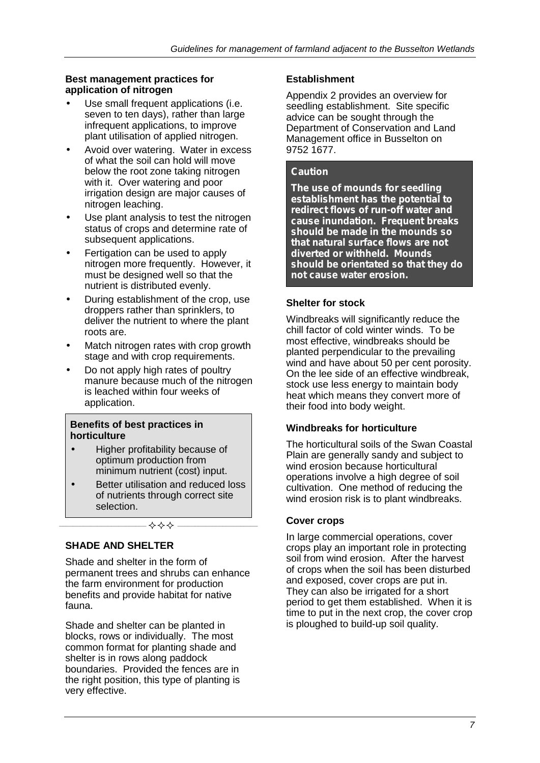#### **Best management practices for application of nitrogen**

- Use small frequent applications (i.e. seven to ten days), rather than large infrequent applications, to improve plant utilisation of applied nitrogen.
- Avoid over watering. Water in excess of what the soil can hold will move below the root zone taking nitrogen with it. Over watering and poor irrigation design are major causes of nitrogen leaching.
- Use plant analysis to test the nitrogen status of crops and determine rate of subsequent applications.
- Fertigation can be used to apply nitrogen more frequently. However, it must be designed well so that the nutrient is distributed evenly.
- During establishment of the crop, use droppers rather than sprinklers, to deliver the nutrient to where the plant roots are.
- Match nitrogen rates with crop growth stage and with crop requirements.
- Do not apply high rates of poultry manure because much of the nitrogen is leached within four weeks of application.

#### **Benefits of best practices in horticulture**

- Higher profitability because of optimum production from minimum nutrient (cost) input.
- Better utilisation and reduced loss of nutrients through correct site selection.

**\_\_\_\_\_\_\_\_\_\_\_\_\_\_\_\_\_\_\_\_\_\_\_\_\_ \_\_\_\_\_\_\_\_\_\_\_\_\_\_\_\_\_\_\_\_\_\_\_**

#### **SHADE AND SHELTER**

Shade and shelter in the form of permanent trees and shrubs can enhance the farm environment for production benefits and provide habitat for native fauna.

Shade and shelter can be planted in blocks, rows or individually. The most common format for planting shade and shelter is in rows along paddock boundaries. Provided the fences are in the right position, this type of planting is very effective.

## **Establishment**

Appendix 2 provides an overview for seedling establishment. Site specific advice can be sought through the Department of Conservation and Land Management office in Busselton on 9752 1677.

## *Caution*

*The use of mounds for seedling establishment has the potential to redirect flows of run-off water and cause inundation. Frequent breaks should be made in the mounds so that natural surface flows are not diverted or withheld. Mounds should be orientated so that they do not cause water erosion.*

#### **Shelter for stock**

Windbreaks will significantly reduce the chill factor of cold winter winds. To be most effective, windbreaks should be planted perpendicular to the prevailing wind and have about 50 per cent porosity. On the lee side of an effective windbreak, stock use less energy to maintain body heat which means they convert more of their food into body weight.

#### **Windbreaks for horticulture**

The horticultural soils of the Swan Coastal Plain are generally sandy and subject to wind erosion because horticultural operations involve a high degree of soil cultivation. One method of reducing the wind erosion risk is to plant windbreaks.

#### **Cover crops**

In large commercial operations, cover crops play an important role in protecting soil from wind erosion. After the harvest of crops when the soil has been disturbed and exposed, cover crops are put in. They can also be irrigated for a short period to get them established. When it is time to put in the next crop, the cover crop is ploughed to build-up soil quality.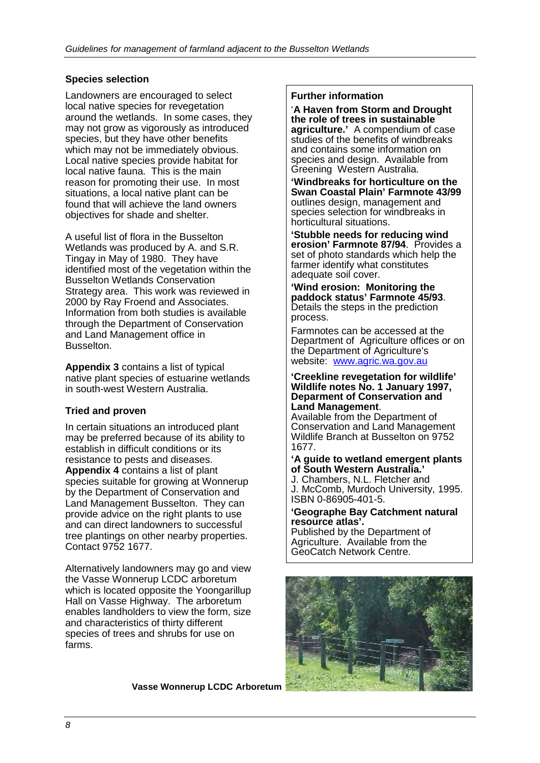## **Species selection**

Landowners are encouraged to select local native species for revegetation around the wetlands. In some cases, they may not grow as vigorously as introduced species, but they have other benefits which may not be immediately obvious. Local native species provide habitat for local native fauna. This is the main reason for promoting their use. In most situations, a local native plant can be found that will achieve the land owners objectives for shade and shelter.

A useful list of flora in the Busselton Wetlands was produced by A. and S.R. Tingay in May of 1980. They have identified most of the vegetation within the Busselton Wetlands Conservation Strategy area. This work was reviewed in 2000 by Ray Froend and Associates. Information from both studies is available through the Department of Conservation and Land Management office in Busselton.

**Appendix 3** contains a list of typical native plant species of estuarine wetlands in south-west Western Australia.

#### **Tried and proven**

In certain situations an introduced plant may be preferred because of its ability to establish in difficult conditions or its resistance to pests and diseases. **Appendix 4** contains a list of plant species suitable for growing at Wonnerup by the Department of Conservation and Land Management Busselton. They can provide advice on the right plants to use and can direct landowners to successful tree plantings on other nearby properties. Contact 9752 1677.

Alternatively landowners may go and view the Vasse Wonnerup LCDC arboretum which is located opposite the Yoongarillup Hall on Vasse Highway. The arboretum enables landholders to view the form, size and characteristics of thirty different species of trees and shrubs for use on farms.

**Vasse Wonnerup LCDC Arboretum**

#### **Further information**

'**A Haven from Storm and Drought the role of trees in sustainable agriculture.'** A compendium of case studies of the benefits of windbreaks and contains some information on species and design. Available from Greening Western Australia.

**'Windbreaks for horticulture on the Swan Coastal Plain' Farmnote 43/99** outlines design, management and species selection for windbreaks in horticultural situations.

**'Stubble needs for reducing wind erosion' Farmnote 87/94. Provides a** set of photo standards which help the farmer identify what constitutes adequate soil cover.

**'Wind erosion: Monitoring the paddock status' Farmnote 45/93**. Details the steps in the prediction process.

Farmnotes can be accessed at the Department of Agriculture offices or on the Department of Agriculture's website: www.agric.wa.gov.au

## **'Creekline revegetation for wildlife' Wildlife notes No. 1 January 1997, Deparment of Conservation and**

**Land Management**. Available from the Department of Conservation and Land Management Wildlife Branch at Busselton on 9752 1677.

#### **'A guide to wetland emergent plants of South Western Australia.'**

J. Chambers, N.L. Fletcher and J. McComb, Murdoch University, 1995. ISBN 0-86905-401-5.

#### **'Geographe Bay Catchment natural resource atlas'.**

Published by the Department of Agriculture. Available from the GeoCatch Network Centre.

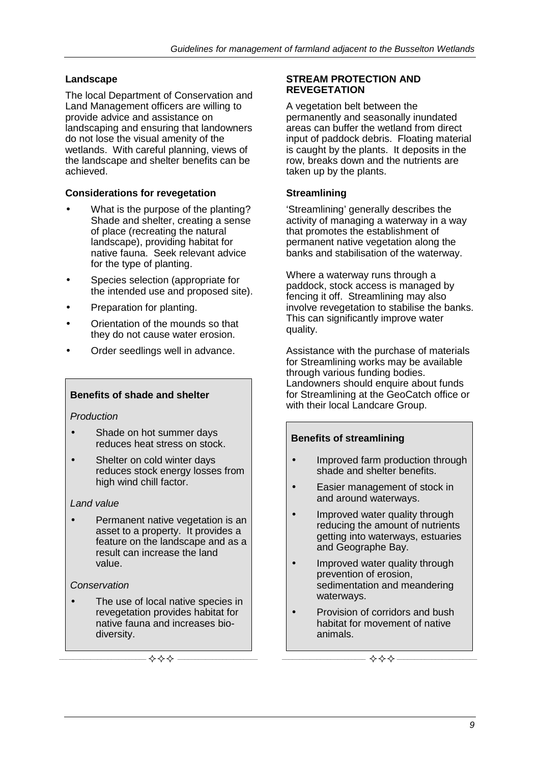## **Landscape**

The local Department of Conservation and Land Management officers are willing to provide advice and assistance on landscaping and ensuring that landowners do not lose the visual amenity of the wetlands. With careful planning, views of the landscape and shelter benefits can be achieved.

## **Considerations for revegetation**

- What is the purpose of the planting? Shade and shelter, creating a sense of place (recreating the natural landscape), providing habitat for native fauna. Seek relevant advice for the type of planting.
- Species selection (appropriate for the intended use and proposed site).
- Preparation for planting.
- Orientation of the mounds so that they do not cause water erosion.
- Order seedlings well in advance.

## **Benefits of shade and shelter**

#### *Production*

- Shade on hot summer days reduces heat stress on stock.
- Shelter on cold winter days reduces stock energy losses from high wind chill factor.

#### *Land value*

 Permanent native vegetation is an asset to a property. It provides a feature on the landscape and as a result can increase the land value.

#### *Conservation*

• The use of local native species in revegetation provides habitat for native fauna and increases bio diversity.

**\_\_\_\_\_\_\_\_\_\_\_\_\_\_\_\_\_\_\_\_\_\_\_\_\_ \_\_\_\_\_\_\_\_\_\_\_\_\_\_\_\_\_\_\_\_\_\_\_**

#### **STREAM PROTECTION AND REVEGETATION**

A vegetation belt between the permanently and seasonally inundated areas can buffer the wetland from direct input of paddock debris. Floating material is caught by the plants. It deposits in the row, breaks down and the nutrients are taken up by the plants.

### **Streamlining**

'Streamlining' generally describes the activity of managing a waterway in a way that promotes the establishment of permanent native vegetation along the banks and stabilisation of the waterway.

Where a waterway runs through a paddock, stock access is managed by fencing it off. Streamlining may also involve revegetation to stabilise the banks. This can significantly improve water quality.

Assistance with the purchase of materials for Streamlining works may be available through various funding bodies. Landowners should enquire about funds for Streamlining at the GeoCatch office or with their local Landcare Group.

#### **Benefits of streamlining**

- Improved farm production through shade and shelter benefits.
- Easier management of stock in and around waterways.
- Improved water quality through reducing the amount of nutrients getting into waterways, estuaries and Geographe Bay.
- Improved water quality through prevention of erosion, sedimentation and meandering waterways.
- Provision of corridors and bush habitat for movement of native animals.

**\_\_\_\_\_\_\_\_\_\_\_\_\_\_\_\_\_\_\_\_\_\_\_\_ \_\_\_\_\_\_\_\_\_\_\_\_\_\_\_\_\_\_\_\_\_\_\_**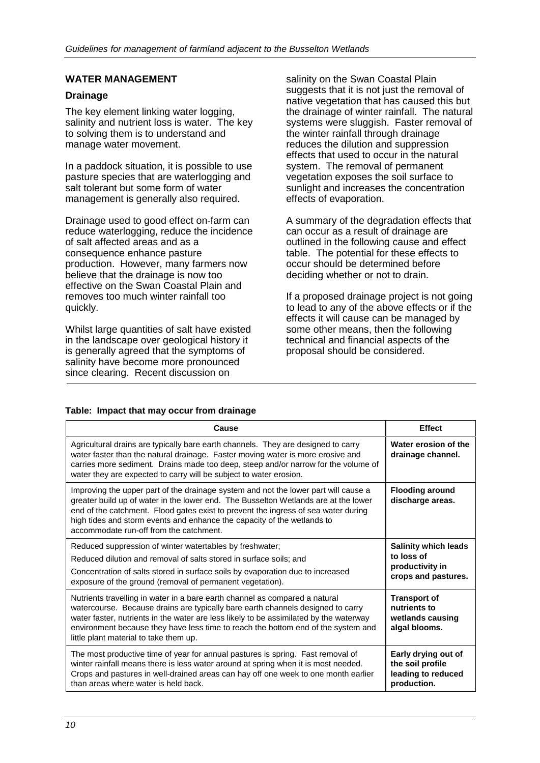#### **WATER MANAGEMENT**

#### **Drainage**

The key element linking water logging, salinity and nutrient loss is water. The key to solving them is to understand and manage water movement.

In a paddock situation, it is possible to use pasture species that are waterlogging and salt tolerant but some form of water management is generally also required.

Drainage used to good effect on-farm can reduce waterlogging, reduce the incidence of salt affected areas and as a consequence enhance pasture production. However, many farmers now believe that the drainage is now too effective on the Swan Coastal Plain and removes too much winter rainfall too quickly.

Whilst large quantities of salt have existed in the landscape over geological history it is generally agreed that the symptoms of salinity have become more pronounced since clearing. Recent discussion on

salinity on the Swan Coastal Plain suggests that it is not just the removal of native vegetation that has caused this but the drainage of winter rainfall. The natural systems were sluggish. Faster removal of the winter rainfall through drainage reduces the dilution and suppression effects that used to occur in the natural system. The removal of permanent vegetation exposes the soil surface to sunlight and increases the concentration effects of evaporation.

A summary of the degradation effects that can occur as a result of drainage are outlined in the following cause and effect table. The potential for these effects to occur should be determined before deciding whether or not to drain.

If a proposed drainage project is not going to lead to any of the above effects or if the effects it will cause can be managed by some other means, then the following technical and financial aspects of the proposal should be considered.

#### **Table: Impact that may occur from drainage**

| Cause                                                                                                                                                                                                                                                                                                                                                                                   | <b>Effect</b>                                                                       |
|-----------------------------------------------------------------------------------------------------------------------------------------------------------------------------------------------------------------------------------------------------------------------------------------------------------------------------------------------------------------------------------------|-------------------------------------------------------------------------------------|
| Agricultural drains are typically bare earth channels. They are designed to carry<br>water faster than the natural drainage. Faster moving water is more erosive and<br>carries more sediment. Drains made too deep, steep and/or narrow for the volume of<br>water they are expected to carry will be subject to water erosion.                                                        | Water erosion of the<br>drainage channel.                                           |
| Improving the upper part of the drainage system and not the lower part will cause a<br>greater build up of water in the lower end. The Busselton Wetlands are at the lower<br>end of the catchment. Flood gates exist to prevent the ingress of sea water during<br>high tides and storm events and enhance the capacity of the wetlands to<br>accommodate run-off from the catchment.  | <b>Flooding around</b><br>discharge areas.                                          |
| Reduced suppression of winter watertables by freshwater;<br>Reduced dilution and removal of salts stored in surface soils; and<br>Concentration of salts stored in surface soils by evaporation due to increased<br>exposure of the ground (removal of permanent vegetation).                                                                                                           | <b>Salinity which leads</b><br>to loss of<br>productivity in<br>crops and pastures. |
| Nutrients travelling in water in a bare earth channel as compared a natural<br>watercourse. Because drains are typically bare earth channels designed to carry<br>water faster, nutrients in the water are less likely to be assimilated by the waterway<br>environment because they have less time to reach the bottom end of the system and<br>little plant material to take them up. | <b>Transport of</b><br>nutrients to<br>wetlands causing<br>algal blooms.            |
| The most productive time of year for annual pastures is spring. Fast removal of<br>winter rainfall means there is less water around at spring when it is most needed.<br>Crops and pastures in well-drained areas can hay off one week to one month earlier<br>than areas where water is held back.                                                                                     | Early drying out of<br>the soil profile<br>leading to reduced<br>production.        |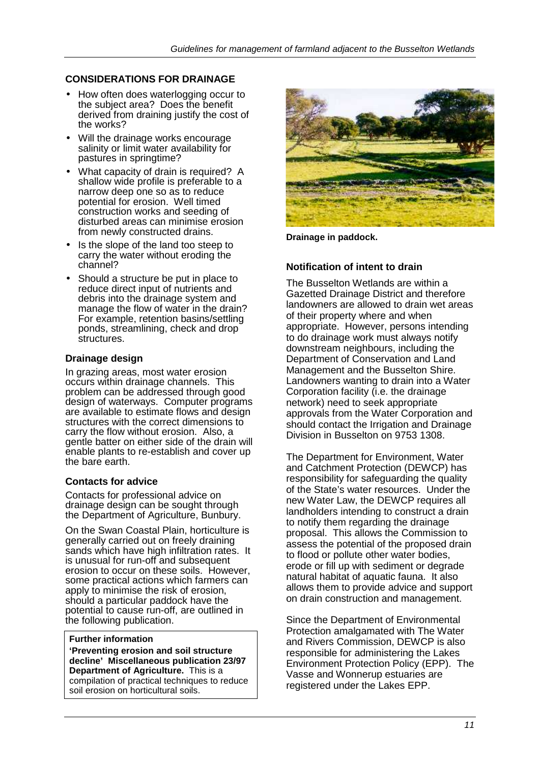## **CONSIDERATIONS FOR DRAINAGE**

- How often does waterlogging occur to the subject area? Does the benefit derived from draining justify the cost of the works?
- Will the drainage works encourage salinity or limit water availability for pastures in springtime?
- What capacity of drain is required? A shallow wide profile is preferable to a narrow deep one so as to reduce potential for erosion. Well timed construction works and seeding of disturbed areas can minimise erosion from newly constructed drains.
- Is the slope of the land too steep to carry the water without eroding the channel?
- Should a structure be put in place to reduce direct input of nutrients and debris into the drainage system and manage the flow of water in the drain? For example, retention basins/settling ponds, streamlining, check and drop structures.

#### **Drainage design**

In grazing areas, most water erosion occurs within drainage channels. This problem can be addressed through good design of waterways. Computer programs are available to estimate flows and design structures with the correct dimensions to carry the flow without erosion. Also, a gentle batter on either side of the drain will enable plants to re-establish and cover up the bare earth.

#### **Contacts for advice**

Contacts for professional advice on drainage design can be sought through the Department of Agriculture, Bunbury.

On the Swan Coastal Plain, horticulture is generally carried out on freely draining sands which have high infiltration rates. It is unusual for run-off and subsequent erosion to occur on these soils. However, some practical actions which farmers can apply to minimise the risk of erosion, should a particular paddock have the potential to cause run-off, are outlined in the following publication.

#### **Further information**

**'Preventing erosion and soil structure decline' Miscellaneous publication 23/97 Department of Agriculture.** This is a compilation of practical techniques to reduce soil erosion on horticultural soils.



**Drainage in paddock.**

#### **Notification of intent to drain**

The Busselton Wetlands are within a Gazetted Drainage District and therefore landowners are allowed to drain wet areas of their property where and when appropriate. However, persons intending to do drainage work must always notify downstream neighbours, including the Department of Conservation and Land Management and the Busselton Shire. Landowners wanting to drain into a Water Corporation facility (i.e. the drainage network) need to seek appropriate approvals from the Water Corporation and should contact the Irrigation and Drainage Division in Busselton on 9753 1308.

The Department for Environment, Water and Catchment Protection (DEWCP) has responsibility for safeguarding the quality of the State's water resources. Under the new Water Law, the DEWCP requires all landholders intending to construct a drain to notify them regarding the drainage proposal. This allows the Commission to assess the potential of the proposed drain to flood or pollute other water bodies, erode or fill up with sediment or degrade natural habitat of aquatic fauna. It also allows them to provide advice and support on drain construction and management.

Since the Department of Environmental Protection amalgamated with The Water and Rivers Commission, DEWCP is also responsible for administering the Lakes Environment Protection Policy (EPP). The Vasse and Wonnerup estuaries are registered under the Lakes EPP.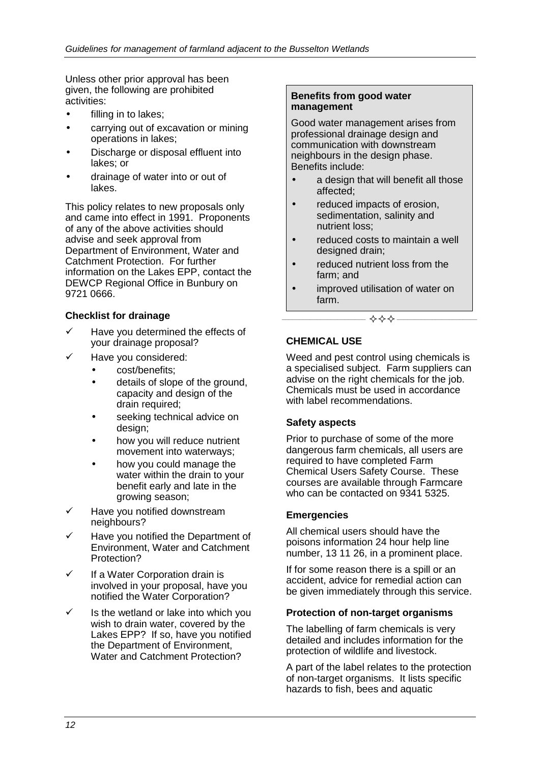Unless other prior approval has been given, the following are prohibited activities:

- filling in to lakes;
- carrying out of excavation or mining operations in lakes;
- Discharge or disposal effluent into lakes; or
- drainage of water into or out of lakes.

This policy relates to new proposals only and came into effect in 1991. Proponents of any of the above activities should advise and seek approval from Department of Environment, Water and Catchment Protection. For further information on the Lakes EPP, contact the DEWCP Regional Office in Bunbury on 9721 0666.

#### **Checklist for drainage**

- $\checkmark$  Have you determined the effects of your drainage proposal?
- Have you considered:
	- cost/benefits;
	- details of slope of the ground, capacity and design of the drain required;
	- seeking technical advice on design;
	- how you will reduce nutrient movement into waterways;
	- how you could manage the water within the drain to your benefit early and late in the growing season;
- $\checkmark$  Have you notified downstream neighbours?
- Have you notified the Department of Environment, Water and Catchment Protection?
- $\checkmark$  If a Water Corporation drain is involved in your proposal, have you notified the Water Corporation?
- $\checkmark$  Is the wetland or lake into which you wish to drain water, covered by the Lakes EPP? If so, have you notified the Department of Environment, Water and Catchment Protection?

#### **Benefits from good water management**

Good water management arises from professional drainage design and communication with downstream neighbours in the design phase. Benefits include:

- a design that will benefit all those affected;
- reduced impacts of erosion, sedimentation, salinity and nutrient loss;
- reduced costs to maintain a well designed drain;
- reduced nutrient loss from the farm; and
- improved utilisation of water on farm.

**\_\_\_\_\_\_\_\_\_\_\_\_\_\_\_\_\_\_\_\_\_\_\_\_ \_\_\_\_\_\_\_\_\_\_\_\_\_\_\_\_\_\_\_\_\_\_\_**

#### **CHEMICAL USE**

Weed and pest control using chemicals is a specialised subject. Farm suppliers can advise on the right chemicals for the job. Chemicals must be used in accordance with label recommendations.

#### **Safety aspects**

Prior to purchase of some of the more dangerous farm chemicals, all users are required to have completed Farm Chemical Users Safety Course. These courses are available through Farmcare who can be contacted on 9341 5325.

#### **Emergencies**

All chemical users should have the poisons information 24 hour help line number, 13 11 26, in a prominent place.

If for some reason there is a spill or an accident, advice for remedial action can be given immediately through this service.

#### **Protection of non-target organisms**

The labelling of farm chemicals is very detailed and includes information for the protection of wildlife and livestock.

A part of the label relates to the protection of non-target organisms. It lists specific hazards to fish, bees and aquatic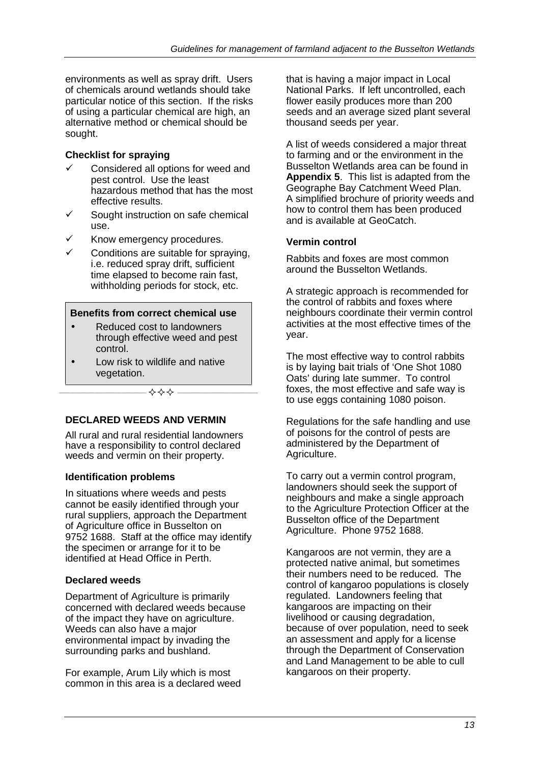environments as well as spray drift. Users of chemicals around wetlands should take particular notice of this section. If the risks of using a particular chemical are high, an alternative method or chemical should be sought.

#### **Checklist for spraying**

- $\checkmark$  Considered all options for weed and pest control. Use the least hazardous method that has the most effective results.
- $\checkmark$  Sought instruction on safe chemical use.
- Know emergency procedures.
- Conditions are suitable for spraying, i.e. reduced spray drift, sufficient time elapsed to become rain fast, withholding periods for stock, etc.

#### **Benefits from correct chemical use**

- Reduced cost to landowners through effective weed and pest control.
- Low risk to wildlife and native vegetation.

 $\diamondsuit$ 

#### **DECLARED WEEDS AND VERMIN**

All rural and rural residential landowners have a responsibility to control declared weeds and vermin on their property.

#### **Identification problems**

In situations where weeds and pests cannot be easily identified through your rural suppliers, approach the Department of Agriculture office in Busselton on 9752 1688. Staff at the office may identify the specimen or arrange for it to be identified at Head Office in Perth.

#### **Declared weeds**

Department of Agriculture is primarily concerned with declared weeds because of the impact they have on agriculture. Weeds can also have a major environmental impact by invading the surrounding parks and bushland.

For example, Arum Lily which is most common in this area is a declared weed that is having a major impact in Local National Parks. If left uncontrolled, each flower easily produces more than 200 seeds and an average sized plant several thousand seeds per year.

A list of weeds considered a major threat to farming and or the environment in the Busselton Wetlands area can be found in **Appendix 5**. This list is adapted from the Geographe Bay Catchment Weed Plan. A simplified brochure of priority weeds and how to control them has been produced and is available at GeoCatch.

## **Vermin control**

Rabbits and foxes are most common around the Busselton Wetlands.

A strategic approach is recommended for the control of rabbits and foxes where neighbours coordinate their vermin control activities at the most effective times of the year.

The most effective way to control rabbits is by laying bait trials of 'One Shot 1080 Oats' during late summer. To control foxes, the most effective and safe way is to use eggs containing 1080 poison.

Regulations for the safe handling and use of poisons for the control of pests are administered by the Department of Agriculture.

To carry out a vermin control program, landowners should seek the support of neighbours and make a single approach to the Agriculture Protection Officer at the Busselton office of the Department Agriculture. Phone 9752 1688.

Kangaroos are not vermin, they are a protected native animal, but sometimes their numbers need to be reduced. The control of kangaroo populations is closely regulated. Landowners feeling that kangaroos are impacting on their livelihood or causing degradation, because of over population, need to seek an assessment and apply for a license through the Department of Conservation and Land Management to be able to cull kangaroos on their property.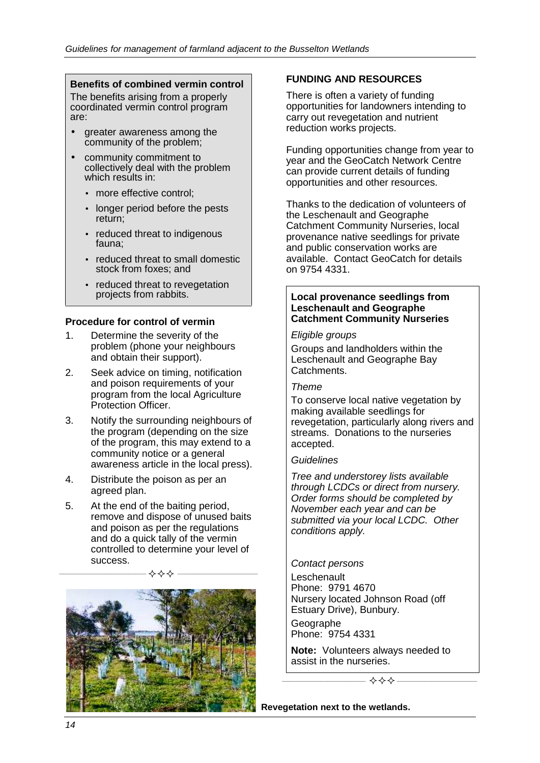#### **Benefits of combined vermin control**

The benefits arising from a properly coordinated vermin control program are:

- greater awareness among the community of the problem;
- community commitment to collectively deal with the problem which results in:
	- more effective control;
	- longer period before the pests return;
	- reduced threat to indigenous fauna;
	- reduced threat to small domestic stock from foxes; and
	- reduced threat to revegetation projects from rabbits.

#### **Procedure for control of vermin**

- 1. Determine the severity of the problem (phone your neighbours and obtain their support).
- 2. Seek advice on timing, notification and poison requirements of your program from the local Agriculture Protection Officer.
- 3. Notify the surrounding neighbours of the program (depending on the size of the program, this may extend to a community notice or a general awareness article in the local press).
- 4. Distribute the poison as per an agreed plan.
- 5. At the end of the baiting period, remove and dispose of unused baits and poison as per the regulations and do a quick tally of the vermin controlled to determine your level of success.

**\_\_\_\_\_\_\_\_\_\_\_\_\_\_\_\_\_\_\_\_\_\_\_\_\_ \_\_\_\_\_\_\_\_\_\_\_\_\_\_\_\_\_\_\_\_\_\_\_**



## **FUNDING AND RESOURCES**

There is often a variety of funding opportunities for landowners intending to carry out revegetation and nutrient reduction works projects.

Funding opportunities change from year to year and the GeoCatch Network Centre can provide current details of funding opportunities and other resources.

Thanks to the dedication of volunteers of the Leschenault and Geographe Catchment Community Nurseries, local provenance native seedlings for private and public conservation works are available. Contact GeoCatch for details on 9754 4331.

#### **Local provenance seedlings from Leschenault and Geographe Catchment Community Nurseries**

#### *Eligible groups*

Groups and landholders within the Leschenault and Geographe Bay Catchments.

#### *Theme*

To conserve local native vegetation by making available seedlings for revegetation, particularly along rivers and streams. Donations to the nurseries accepted.

#### *Guidelines*

*Tree and understorey lists available through LCDCs or direct from nursery. Order forms should be completed by November each year and can be submitted via your local LCDC. Other conditions apply.*

*Contact persons* **Leschenault** Phone: 9791 4670 Nursery located Johnson Road (off Estuary Drive), Bunbury.

**Geographe** Phone: 9754 4331

**Note:** Volunteers always needed to assist in the nurseries.

**\_\_\_\_\_\_\_\_\_\_\_\_\_\_\_\_\_\_\_\_\_\_\_\_ \_\_\_\_\_\_\_\_\_\_\_\_\_\_\_\_\_\_\_\_\_\_\_**

**Revegetation next to the wetlands.**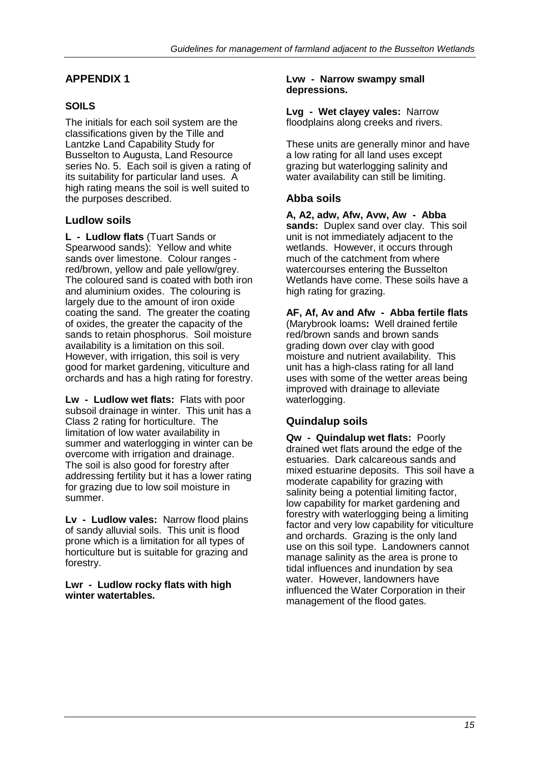## **SOILS**

The initials for each soil system are the classifications given by the Tille and Lantzke Land Capability Study for Busselton to Augusta, Land Resource series No. 5. Each soil is given a rating of its suitability for particular land uses. A high rating means the soil is well suited to the purposes described.

## **Ludlow soils**

**L - Ludlow flats** (Tuart Sands or Spearwood sands): Yellow and white sands over limestone. Colour ranges red/brown, yellow and pale yellow/grey. The coloured sand is coated with both iron and aluminium oxides. The colouring is largely due to the amount of iron oxide coating the sand. The greater the coating of oxides, the greater the capacity of the sands to retain phosphorus. Soil moisture availability is a limitation on this soil. However, with irrigation, this soil is very good for market gardening, viticulture and orchards and has a high rating for forestry.

**Lw - Ludlow wet flats:** Flats with poor subsoil drainage in winter. This unit has a Class 2 rating for horticulture. The limitation of low water availability in summer and waterlogging in winter can be overcome with irrigation and drainage. The soil is also good for forestry after addressing fertility but it has a lower rating for grazing due to low soil moisture in summer.

**Lv - Ludlow vales:** Narrow flood plains of sandy alluvial soils. This unit is flood prone which is a limitation for all types of horticulture but is suitable for grazing and forestry.

**Lwr - Ludlow rocky flats with high winter watertables.**

#### **Lvw - Narrow swampy small depressions.**

**Lvg - Wet clayey vales:** Narrow floodplains along creeks and rivers.

These units are generally minor and have a low rating for all land uses except grazing but waterlogging salinity and water availability can still be limiting.

## **Abba soils**

**A, A2, adw, Afw, Avw, Aw - Abba sands:** Duplex sand over clay. This soil unit is not immediately adjacent to the wetlands. However, it occurs through much of the catchment from where watercourses entering the Busselton Wetlands have come. These soils have a high rating for grazing.

**AF, Af, Av and Afw - Abba fertile flats** (Marybrook loams**:** Well drained fertile red/brown sands and brown sands grading down over clay with good moisture and nutrient availability. This unit has a high-class rating for all land uses with some of the wetter areas being improved with drainage to alleviate waterlogging.

## **Quindalup soils**

**Qw - Quindalup wet flats:** Poorly drained wet flats around the edge of the estuaries. Dark calcareous sands and mixed estuarine deposits. This soil have a moderate capability for grazing with salinity being a potential limiting factor, low capability for market gardening and forestry with waterlogging being a limiting factor and very low capability for viticulture and orchards. Grazing is the only land use on this soil type. Landowners cannot manage salinity as the area is prone to tidal influences and inundation by sea water. However, landowners have influenced the Water Corporation in their management of the flood gates.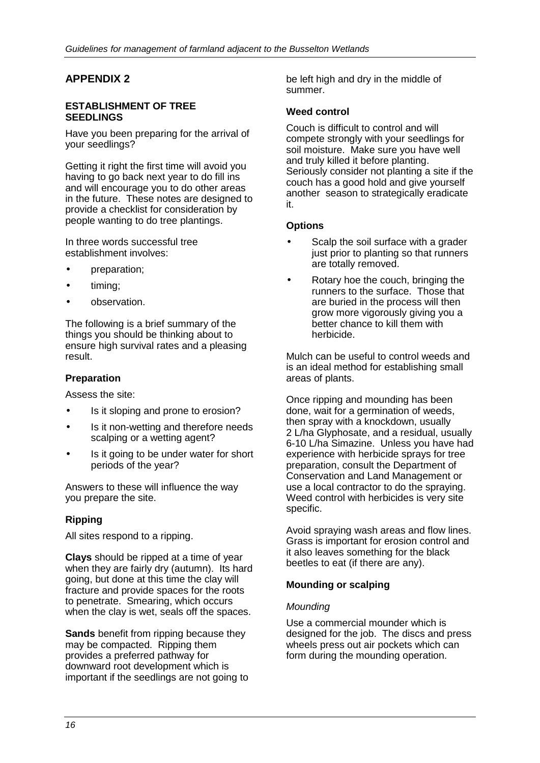#### **ESTABLISHMENT OF TREE SEEDLINGS**

Have you been preparing for the arrival of your seedlings?

Getting it right the first time will avoid you having to go back next year to do fill ins and will encourage you to do other areas in the future. These notes are designed to provide a checklist for consideration by people wanting to do tree plantings.

In three words successful tree establishment involves:

- preparation;
- timing;
- observation.

The following is a brief summary of the things you should be thinking about to ensure high survival rates and a pleasing result.

#### **Preparation**

Assess the site:

- Is it sloping and prone to erosion?
- Is it non-wetting and therefore needs scalping or a wetting agent?
- Is it going to be under water for short periods of the year?

Answers to these will influence the way you prepare the site.

#### **Ripping**

All sites respond to a ripping.

**Clays** should be ripped at a time of year when they are fairly dry (autumn). Its hard going, but done at this time the clay will fracture and provide spaces for the roots to penetrate. Smearing, which occurs when the clay is wet, seals off the spaces.

**Sands** benefit from ripping because they may be compacted. Ripping them provides a preferred pathway for downward root development which is important if the seedlings are not going to be left high and dry in the middle of summer.

#### **Weed control**

Couch is difficult to control and will compete strongly with your seedlings for soil moisture. Make sure you have well and truly killed it before planting. Seriously consider not planting a site if the couch has a good hold and give yourself another season to strategically eradicate it.

#### **Options**

- Scalp the soil surface with a grader just prior to planting so that runners are totally removed.
- Rotary hoe the couch, bringing the runners to the surface. Those that are buried in the process will then grow more vigorously giving you a better chance to kill them with herbicide.

Mulch can be useful to control weeds and is an ideal method for establishing small areas of plants.

Once ripping and mounding has been done, wait for a germination of weeds, then spray with a knockdown, usually 2 L/ha Glyphosate, and a residual, usually 6-10 L/ha Simazine. Unless you have had experience with herbicide sprays for tree preparation, consult the Department of Conservation and Land Management or use a local contractor to do the spraying. Weed control with herbicides is very site specific.

Avoid spraying wash areas and flow lines. Grass is important for erosion control and it also leaves something for the black beetles to eat (if there are any).

#### **Mounding or scalping**

#### *Mounding*

Use a commercial mounder which is designed for the job. The discs and press wheels press out air pockets which can form during the mounding operation.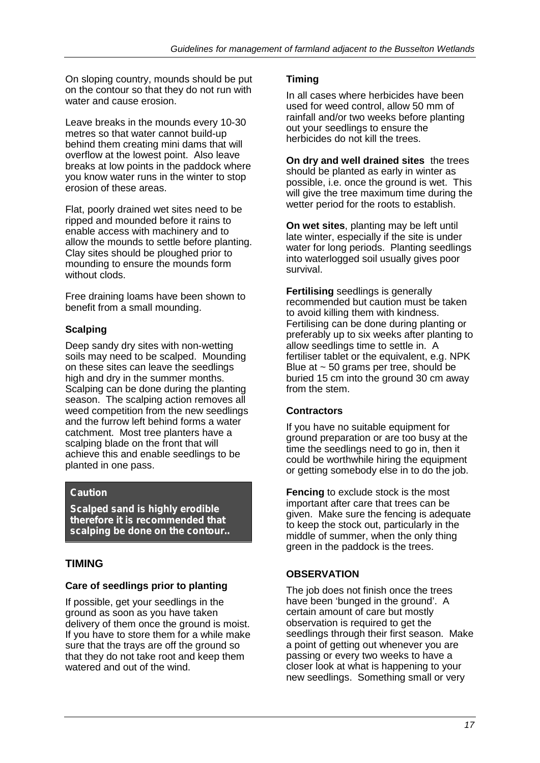On sloping country, mounds should be put on the contour so that they do not run with water and cause erosion.

Leave breaks in the mounds every 10-30 metres so that water cannot build-up behind them creating mini dams that will overflow at the lowest point. Also leave breaks at low points in the paddock where you know water runs in the winter to stop erosion of these areas.

Flat, poorly drained wet sites need to be ripped and mounded before it rains to enable access with machinery and to allow the mounds to settle before planting. Clay sites should be ploughed prior to mounding to ensure the mounds form without clods.

Free draining loams have been shown to benefit from a small mounding.

## **Scalping**

Deep sandy dry sites with non-wetting soils may need to be scalped. Mounding on these sites can leave the seedlings high and dry in the summer months. Scalping can be done during the planting season. The scalping action removes all weed competition from the new seedlings and the furrow left behind forms a water catchment. Most tree planters have a scalping blade on the front that will achieve this and enable seedlings to be planted in one pass.

#### *Caution*

*Scalped sand is highly erodible therefore it is recommended that scalping be done on the contour..*

## **TIMING**

#### **Care of seedlings prior to planting**

If possible, get your seedlings in the ground as soon as you have taken delivery of them once the ground is moist. If you have to store them for a while make sure that the trays are off the ground so that they do not take root and keep them watered and out of the wind.

#### **Timing**

In all cases where herbicides have been used for weed control, allow 50 mm of rainfall and/or two weeks before planting out your seedlings to ensure the herbicides do not kill the trees.

**On dry and well drained sites** the trees should be planted as early in winter as possible, i.e. once the ground is wet. This will give the tree maximum time during the wetter period for the roots to establish.

**On wet sites**, planting may be left until late winter, especially if the site is under water for long periods. Planting seedlings into waterlogged soil usually gives poor survival.

**Fertilising** seedlings is generally recommended but caution must be taken to avoid killing them with kindness. Fertilising can be done during planting or preferably up to six weeks after planting to allow seedlings time to settle in. A fertiliser tablet or the equivalent, e.g. NPK Blue at  $\sim$  50 grams per tree, should be buried 15 cm into the ground 30 cm away from the stem.

#### **Contractors**

If you have no suitable equipment for ground preparation or are too busy at the time the seedlings need to go in, then it could be worthwhile hiring the equipment or getting somebody else in to do the job.

**Fencing** to exclude stock is the most important after care that trees can be given. Make sure the fencing is adequate to keep the stock out, particularly in the middle of summer, when the only thing green in the paddock is the trees.

#### **OBSERVATION**

The job does not finish once the trees have been 'bunged in the ground'. A certain amount of care but mostly observation is required to get the seedlings through their first season. Make a point of getting out whenever you are passing or every two weeks to have a closer look at what is happening to your new seedlings. Something small or very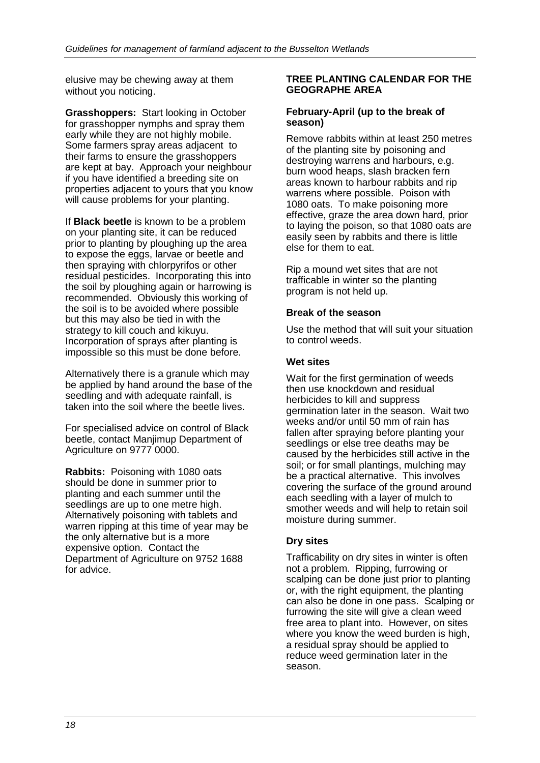elusive may be chewing away at them without you noticing.

**Grasshoppers:** Start looking in October for grasshopper nymphs and spray them early while they are not highly mobile. Some farmers spray areas adjacent to their farms to ensure the grasshoppers are kept at bay. Approach your neighbour if you have identified a breeding site on properties adjacent to yours that you know will cause problems for your planting.

If **Black beetle** is known to be a problem on your planting site, it can be reduced prior to planting by ploughing up the area to expose the eggs, larvae or beetle and then spraying with chlorpyrifos or other residual pesticides. Incorporating this into the soil by ploughing again or harrowing is recommended. Obviously this working of the soil is to be avoided where possible but this may also be tied in with the strategy to kill couch and kikuyu. Incorporation of sprays after planting is impossible so this must be done before.

Alternatively there is a granule which may be applied by hand around the base of the seedling and with adequate rainfall, is taken into the soil where the beetle lives.

For specialised advice on control of Black beetle, contact Manjimup Department of Agriculture on 9777 0000.

**Rabbits:** Poisoning with 1080 oats should be done in summer prior to planting and each summer until the seedlings are up to one metre high. Alternatively poisoning with tablets and warren ripping at this time of year may be the only alternative but is a more expensive option. Contact the Department of Agriculture on 9752 1688 for advice.

#### **TREE PLANTING CALENDAR FOR THE GEOGRAPHE AREA**

#### **February-April (up to the break of season)**

Remove rabbits within at least 250 metres of the planting site by poisoning and destroying warrens and harbours, e.g. burn wood heaps, slash bracken fern areas known to harbour rabbits and rip warrens where possible. Poison with 1080 oats. To make poisoning more effective, graze the area down hard, prior to laying the poison, so that 1080 oats are easily seen by rabbits and there is little else for them to eat.

Rip a mound wet sites that are not trafficable in winter so the planting program is not held up.

#### **Break of the season**

Use the method that will suit your situation to control weeds.

#### **Wet sites**

Wait for the first germination of weeds then use knockdown and residual herbicides to kill and suppress germination later in the season. Wait two weeks and/or until 50 mm of rain has fallen after spraying before planting your seedlings or else tree deaths may be caused by the herbicides still active in the soil; or for small plantings, mulching may be a practical alternative. This involves covering the surface of the ground around each seedling with a layer of mulch to smother weeds and will help to retain soil moisture during summer.

#### **Dry sites**

Trafficability on dry sites in winter is often not a problem. Ripping, furrowing or scalping can be done just prior to planting or, with the right equipment, the planting can also be done in one pass. Scalping or furrowing the site will give a clean weed free area to plant into. However, on sites where you know the weed burden is high, a residual spray should be applied to reduce weed germination later in the season.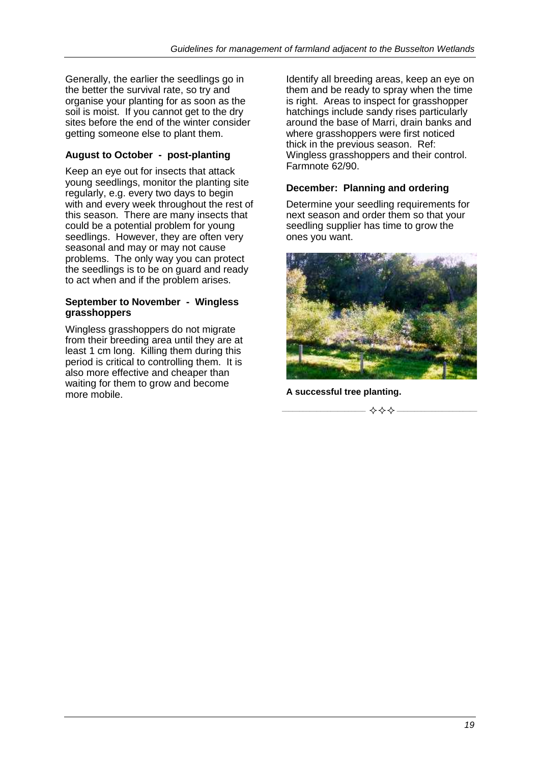Generally, the earlier the seedlings go in the better the survival rate, so try and organise your planting for as soon as the soil is moist. If you cannot get to the dry sites before the end of the winter consider getting someone else to plant them.

## **August to October - post-planting**

Keep an eye out for insects that attack young seedlings, monitor the planting site regularly, e.g. every two days to begin with and every week throughout the rest of this season. There are many insects that could be a potential problem for young seedlings. However, they are often very seasonal and may or may not cause problems. The only way you can protect the seedlings is to be on guard and ready to act when and if the problem arises.

#### **September to November - Wingless grasshoppers**

Wingless grasshoppers do not migrate from their breeding area until they are at least 1 cm long. Killing them during this period is critical to controlling them. It is also more effective and cheaper than waiting for them to grow and become more mobile.

Identify all breeding areas, keep an eye on them and be ready to spray when the time is right. Areas to inspect for grasshopper hatchings include sandy rises particularly around the base of Marri, drain banks and where grasshoppers were first noticed thick in the previous season. Ref: Wingless grasshoppers and their control. Farmnote 62/90.

## **December: Planning and ordering**

Determine your seedling requirements for next season and order them so that your seedling supplier has time to grow the ones you want.



**A successful tree planting.**

**\_\_\_\_\_\_\_\_\_\_\_\_\_\_\_\_\_\_\_\_\_\_\_\_ \_\_\_\_\_\_\_\_\_\_\_\_\_\_\_\_\_\_\_\_\_\_\_**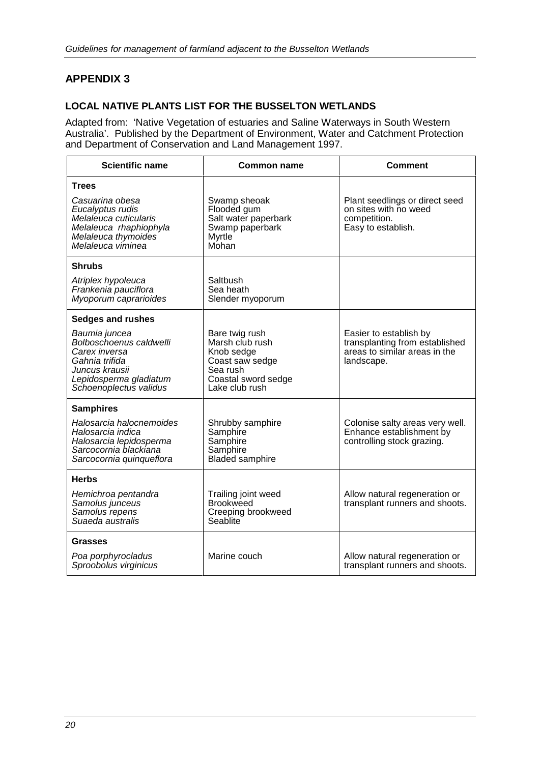## **LOCAL NATIVE PLANTS LIST FOR THE BUSSELTON WETLANDS**

Adapted from: 'Native Vegetation of estuaries and Saline Waterways in South Western Australia'. Published by the Department of Environment, Water and Catchment Protection and Department of Conservation and Land Management 1997.

| <b>Scientific name</b>                                                                                                                            | <b>Common name</b>                                                                                                      | <b>Comment</b>                                                                                          |  |
|---------------------------------------------------------------------------------------------------------------------------------------------------|-------------------------------------------------------------------------------------------------------------------------|---------------------------------------------------------------------------------------------------------|--|
| <b>Trees</b>                                                                                                                                      |                                                                                                                         |                                                                                                         |  |
| Casuarina obesa<br>Eucalyptus rudis<br>Melaleuca cuticularis<br>Melaleuca rhaphiophyla<br>Melaleuca thymoides<br>Melaleuca viminea                | Swamp sheoak<br>Flooded gum<br>Salt water paperbark<br>Swamp paperbark<br><b>Myrtle</b><br>Mohan                        | Plant seedlings or direct seed<br>on sites with no weed<br>competition.<br>Easy to establish.           |  |
| Shrubs                                                                                                                                            |                                                                                                                         |                                                                                                         |  |
| Atriplex hypoleuca<br>Frankenia pauciflora<br>Myoporum caprarioides                                                                               | Saltbush<br>Sea heath<br>Slender myoporum                                                                               |                                                                                                         |  |
| <b>Sedges and rushes</b>                                                                                                                          |                                                                                                                         |                                                                                                         |  |
| Baumia juncea<br>Bolboschoenus caldwelli<br>Carex inversa<br>Gahnia trifida<br>Juncus krausii<br>Lepidosperma gladiatum<br>Schoenoplectus validus | Bare twig rush<br>Marsh club rush<br>Knob sedge<br>Coast saw sedge<br>Sea rush<br>Coastal sword sedge<br>Lake club rush | Easier to establish by<br>transplanting from established<br>areas to similar areas in the<br>landscape. |  |
| <b>Samphires</b>                                                                                                                                  |                                                                                                                         |                                                                                                         |  |
| Halosarcia halocnemoides<br>Halosarcia indica<br>Halosarcia lepidosperma<br>Sarcocornia blackiana<br>Sarcocornia quinqueflora                     | Shrubby samphire<br>Samphire<br>Samphire<br>Samphire<br><b>Bladed samphire</b>                                          | Colonise salty areas very well.<br>Enhance establishment by<br>controlling stock grazing.               |  |
| <b>Herbs</b>                                                                                                                                      |                                                                                                                         |                                                                                                         |  |
| Hemichroa pentandra<br>Samolus junceus<br>Samolus repens<br>Suaeda australis                                                                      | Trailing joint weed<br><b>Brookweed</b><br>Creeping brookweed<br>Seablite                                               | Allow natural regeneration or<br>transplant runners and shoots.                                         |  |
| Grasses                                                                                                                                           |                                                                                                                         |                                                                                                         |  |
| Poa porphyrocladus<br>Sproobolus virginicus                                                                                                       | Marine couch                                                                                                            | Allow natural regeneration or<br>transplant runners and shoots.                                         |  |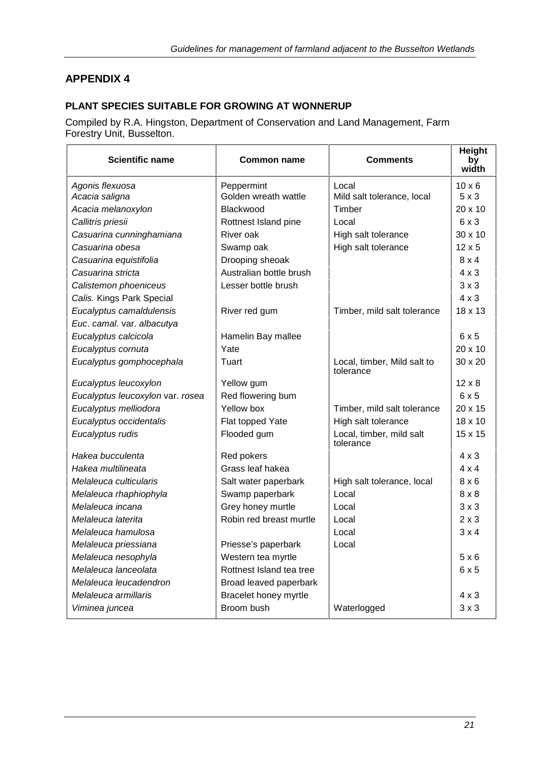## **PLANT SPECIES SUITABLE FOR GROWING AT WONNERUP**

Compiled by R.A. Hingston, Department of Conservation and Land Management, Farm Forestry Unit, Busselton.

| <b>Scientific name</b>           | <b>Common name</b>       | <b>Comments</b>                          | Height<br>by<br>width |
|----------------------------------|--------------------------|------------------------------------------|-----------------------|
| Agonis flexuosa                  | Peppermint               | Local                                    | $10 \times 6$         |
| Acacia saligna                   | Golden wreath wattle     | Mild salt tolerance, local               | $5 \times 3$          |
| Acacia melanoxylon               | Blackwood                | Timber                                   | $20 \times 10$        |
| Callitris priesii                | Rottnest Island pine     | Local                                    | 6x3                   |
| Casuarina cunninghamiana         | River oak                | High salt tolerance                      | $30 \times 10$        |
| Casuarina obesa                  | Swamp oak                | High salt tolerance                      | $12 \times 5$         |
| Casuarina equistifolia           | Drooping sheoak          |                                          | $8 \times 4$          |
| Casuarina stricta                | Australian bottle brush  |                                          | $4 \times 3$          |
| Calistemon phoeniceus            | Lesser bottle brush      |                                          | $3 \times 3$          |
| Calis. Kings Park Special        |                          |                                          | $4 \times 3$          |
| Eucalyptus camaldulensis         | River red gum            | Timber, mild salt tolerance              | 18 x 13               |
| Euc. camal. var. albacutya       |                          |                                          |                       |
| Eucalyptus calcicola             | Hamelin Bay mallee       |                                          | 6x5                   |
| Eucalyptus cornuta               | Yate                     |                                          | $20 \times 10$        |
| Eucalyptus gomphocephala         | Tuart                    | Local, timber, Mild salt to<br>tolerance | $30 \times 20$        |
| Eucalyptus leucoxylon            | Yellow gum               |                                          | $12 \times 8$         |
| Eucalyptus leucoxylon var. rosea | Red flowering bum        |                                          | 6x5                   |
| Eucalyptus melliodora            | Yellow box               | Timber, mild salt tolerance              | $20 \times 15$        |
| Eucalyptus occidentalis          | Flat topped Yate         | High salt tolerance                      | $18 \times 10$        |
| Eucalyptus rudis                 | Flooded gum              | Local, timber, mild salt<br>tolerance    | 15 x 15               |
| Hakea bucculenta                 | Red pokers               |                                          | $4 \times 3$          |
| Hakea multilineata               | Grass leaf hakea         |                                          | $4 \times 4$          |
| Melaleuca culticularis           | Salt water paperbark     | High salt tolerance, local               | $8 \times 6$          |
| Melaleuca rhaphiophyla           | Swamp paperbark          | Local                                    | $8 \times 8$          |
| Melaleuca incana                 | Grey honey murtle        | Local                                    | $3 \times 3$          |
| Melaleuca laterita               | Robin red breast murtle  | Local                                    | $2 \times 3$          |
| Melaleuca hamulosa               |                          | Local                                    | $3 \times 4$          |
| Melaleuca priessiana             | Priesse's paperbark      | Local                                    |                       |
| Melaleuca nesophyla              | Western tea myrtle       |                                          | 5x6                   |
| Melaleuca lanceolata             | Rottnest Island tea tree |                                          | 6x5                   |
| Melaleuca leucadendron           | Broad leaved paperbark   |                                          |                       |
| Melaleuca armillaris             | Bracelet honey myrtle    |                                          | $4 \times 3$          |
| Viminea juncea                   | Broom bush               | Waterlogged                              | $3 \times 3$          |
|                                  |                          |                                          |                       |